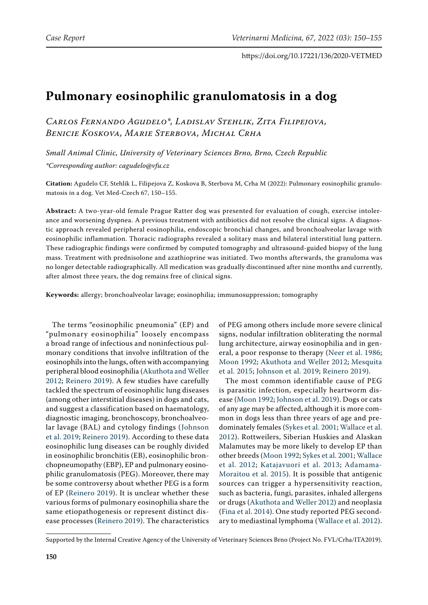# **Pulmonary eosinophilic granulomatosis in a dog**

*Carlos Fernando Agudelo\*, Ladislav Stehlik, Zita Filipejova, Benicie Koskova, Marie Sterbova, Michal Crha*

*Small Animal Clinic, University of Veterinary Sciences Brno, Brno, Czech Republic \*Corresponding author: cagudelo@vfu.cz*

**Citation:** Agudelo CF, Stehlik L, Filipejova Z, Koskova B, Sterbova M, Crha M (2022): Pulmonary eosinophilic granulomatosis in a dog. Vet Med-Czech 67, 150–155.

**Abstract:** A two-year-old female Prague Ratter dog was presented for evaluation of cough, exercise intolerance and worsening dyspnea. A previous treatment with antibiotics did not resolve the clinical signs. A diagnostic approach revealed peripheral eosinophilia, endoscopic bronchial changes, and bronchoalveolar lavage with eosinophilic inflammation. Thoracic radiographs revealed a solitary mass and bilateral interstitial lung pattern. These radiographic findings were confirmed by computed tomography and ultrasound-guided biopsy of the lung mass. Treatment with prednisolone and azathioprine was initiated. Two months afterwards, the granuloma was no longer detectable radiographically. All medication was gradually discontinued after nine months and currently, after almost three years, the dog remains free of clinical signs.

**Keywords:** allergy; bronchoalveolar lavage; eosinophilia; immunosuppression; tomography

The terms "eosinophilic pneumonia" (EP) and "pulmonary eosinophilia" loosely encompass a broad range of infectious and noninfectious pulmonary conditions that involve infiltration of the eosinophils into the lungs, often with accompanying peripheral blood eosinophilia ([Akuthota and Weller](#page-4-0)  [2012;](#page-4-0) [Reinero 2019](#page-5-0)). A few studies have carefully tackled the spectrum of eosinophilic lung diseases (among other interstitial diseases) in dogs and cats, and suggest a classification based on haematology, diagnostic imaging, bronchoscopy, bronchoalveolar lavage (BAL) and cytology findings ([Johnson](#page-5-1)  [et al. 2019;](#page-5-1) [Reinero 2019\)](#page-5-0). According to these data eosinophilic lung diseases can be roughly divided in eosinophilic bronchitis (EB), eosinophilic bronchopneumopathy (EBP), EP and pulmonary eosinophilic granulomatosis (PEG). Moreover, there may be some controversy about whether PEG is a form of EP [\(Reinero 2019\)](#page-5-0). It is unclear whether these various forms of pulmonary eosinophilia share the same etiopathogenesis or represent distinct disease processes [\(Reinero 2019](#page-5-0)). The characteristics

of PEG among others include more severe clinical signs, nodular infiltration obliterating the normal lung architecture, airway eosinophilia and in general, a poor response to therapy ([Neer et al. 1986](#page-5-2); [Moon 1992](#page-5-3); [Akuthota and Weller 2012](#page-4-0); [Mesquita](#page-5-4) [et al. 2015](#page-5-4); [Johnson et al. 2019;](#page-5-1) [Reinero 2019\)](#page-5-0).

The most common identifiable cause of PEG is parasitic infection, especially heartworm disease ([Moon 1992](#page-5-3); [Johnson et al. 2019\)](#page-5-1). Dogs or cats of any age may be affected, although it is more common in dogs less than three years of age and predominately females ([Sykes et al. 2001;](#page-5-5) [Wallace et al.](#page-5-6) [2012\)](#page-5-6). Rottweilers, Siberian Huskies and Alaskan Malamutes may be more likely to develop EP than other breeds ([Moon 1992;](#page-5-3) [Sykes et al. 2001;](#page-5-5) [Wallace](#page-5-6) [et al. 2012;](#page-5-6) [Katajavuori et al. 2013;](#page-5-7) [Adamama-](#page-4-1)[Moraitou et al. 2015](#page-4-1)). It is possible that antigenic sources can trigger a hypersensitivity reaction, such as bacteria, fungi, parasites, inhaled allergens or drugs ([Akuthota and Weller 2012\)](#page-4-0) and neoplasia [\(Fina et al. 2014](#page-5-8)). One study reported PEG secondary to mediastinal lymphoma ([Wallace et al. 2012\)](#page-5-6).

Supported by the Internal Creative Agency of the University of Veterinary Sciences Brno (Project No. FVL/Crha/ITA2019).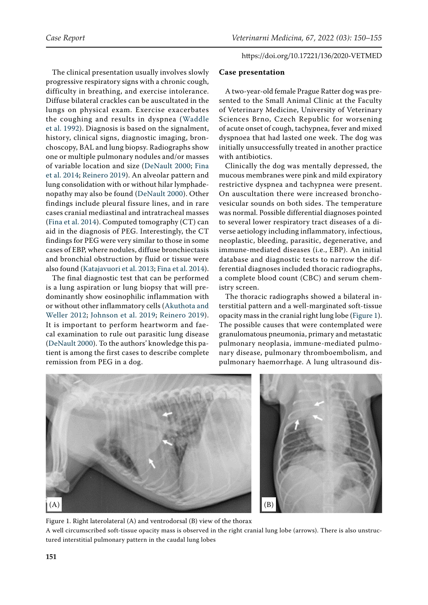The clinical presentation usually involves slowly progressive respiratory signs with a chronic cough, difficulty in breathing, and exercise intolerance. Diffuse bilateral crackles can be auscultated in the lungs on physical exam. Exercise exacerbates the coughing and results in dyspnea ([Waddle](#page-5-9)  [et al. 1992](#page-5-9)). Diagnosis is based on the signalment, history, clinical signs, diagnostic imaging, bronchoscopy, BAL and lung biopsy. Radiographs show one or multiple pulmonary nodules and/or masses of variable location and size ([DeNault 2000](#page-5-10); [Fina](#page-5-8)  [et al. 2014;](#page-5-8) [Reinero 2019\)](#page-5-0). An alveolar pattern and lung consolidation with or without hilar lymphadenopathy may also be found [\(DeNault 2000\)](#page-5-10). Other findings include pleural fissure lines, and in rare cases cranial mediastinal and intratracheal masses [\(Fina et al. 2014](#page-5-8)). Computed tomography (CT) can aid in the diagnosis of PEG. Interestingly, the CT findings for PEG were very similar to those in some cases of EBP, where nodules, diffuse bronchiectasis and bronchial obstruction by fluid or tissue were also found ([Katajavuori et al. 2013](#page-5-7); [Fina et al. 2014\)](#page-5-8).

The final diagnostic test that can be performed is a lung aspiration or lung biopsy that will predominantly show eosinophilic inflammation with or without other inflammatory cells ([Akuthota and](#page-4-0)  [Weller 2012](#page-4-0); [Johnson et al. 2019](#page-5-1); [Reinero 2019](#page-5-0)). It is important to perform heartworm and faecal examination to rule out parasitic lung disease [\(DeNault 2000](#page-5-10)). To the authors' knowledge this patient is among the first cases to describe complete remission from PEG in a dog.

# **Case presentation**

A two-year-old female Prague Ratter dog was presented to the Small Animal Clinic at the Faculty of Veterinary Medicine, University of Veterinary Sciences Brno, Czech Republic for worsening of acute onset of cough, tachypnea, fever and mixed dyspnoea that had lasted one week. The dog was initially unsuccessfully treated in another practice with antibiotics.

Clinically the dog was mentally depressed, the mucous membranes were pink and mild expiratory restrictive dyspnea and tachypnea were present. On auscultation there were increased bronchovesicular sounds on both sides. The temperature was normal. Possible differential diagnoses pointed to several lower respiratory tract diseases of a diverse aetiology including inflammatory, infectious, neoplastic, bleeding, parasitic, degenerative, and immune-mediated diseases (i.e., EBP). An initial database and diagnostic tests to narrow the differential diagnoses included thoracic radiographs, a complete blood count (CBC) and serum chemistry screen.

The thoracic radiographs showed a bilateral interstitial pattern and a well-marginated soft-tissue opacity mass in the cranial right lung lobe [\(Figure 1\)](#page-1-0). The possible causes that were contemplated were granulomatous pneumonia, primary and metastatic pulmonary neoplasia, immune-mediated pulmonary disease, pulmonary thromboembolism, and pulmonary haemorrhage. A lung ultrasound dis-

<span id="page-1-0"></span>

Figure 1. Right laterolateral (A) and ventrodorsal (B) view of the thorax A well circumscribed soft-tissue opacity mass is observed in the right cranial lung lobe (arrows). There is also unstructured interstitial pulmonary pattern in the caudal lung lobes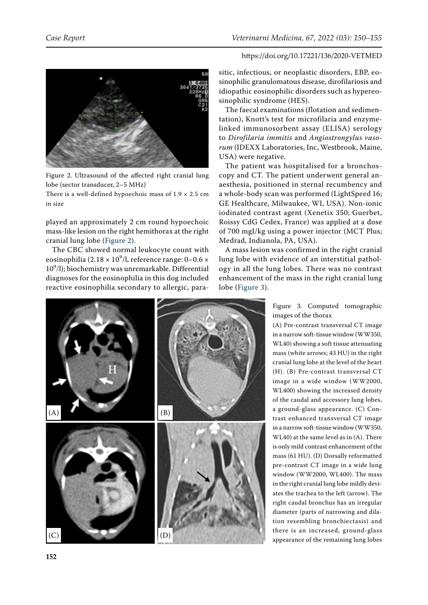<span id="page-2-0"></span>

Figure 2. Ultrasound of the affected right cranial lung lobe (sector transducer, 2–5 MHz)

There is a well-defined hypoechoic mass of  $1.9 \times 2.5$  cm in size

played an approximately 2 cm round hypoechoic mass-like lesion on the right hemithorax at the right cranial lung lobe ([Figure 2\)](#page-2-0).

The CBC showed normal leukocyte count with eosinophilia (2.18  $\times$  10<sup>9</sup>/l, reference range: 0–0.6  $\times$  $10<sup>9</sup>/l$ ); biochemistry was unremarkable. Differential diagnoses for the eosinophilia in this dog included reactive eosinophilia secondary to allergic, para-

sitic, infectious, or neoplastic disorders, EBP, eosinophilic granulomatous disease, dirofilariosis and idiopathic eosinophilic disorders such as hypereosinophilic syndrome (HES).

The faecal examinations (flotation and sedimentation), Knott's test for microfilaria and enzymelinked immunosorbent assay (ELISA) serology to *Dirofilaria immitis* and *Angiostrongylus vasorum* (IDEXX Laboratories, Inc, Westbrook, Maine, USA) were negative.

The patient was hospitalised for a bronchoscopy and CT. The patient underwent general anaesthesia, positioned in sternal recumbency and a whole-body scan was performed (LightSpeed 16; GE Healthcare, Milwaukee, WI, USA). Non-ionic iodinated contrast agent (Xenetix 350; Guerbet, Roissy CdG Cedex, France) was applied at a dose of 700 mgI/kg using a power injector (MCT Plus; Medrad, Indianola, PA, USA).

A mass lesion was confirmed in the right cranial lung lobe with evidence of an interstitial pathology in all the lung lobes. There was no contrast enhancement of the mass in the right cranial lung lobe ([Figure 3](#page-2-1)).

<span id="page-2-1"></span>

Figure 3. Computed tomographic images of the thorax

(A) Pre-contrast transversal CT image in a narrow soft-tissue window (WW350, WL40) showing a soft tissue attenuating mass (white arrows; 43 HU) in the right cranial lung lobe at the level of the heart (H). (B) Pre-contrast transversal CT image in a wide window (WW2000, WL400) showing the increased density of the caudal and accessory lung lobes, a ground-glass appearance. (C) Contrast enhanced transversal CT image in a narrow soft-tissue window (WW350, WL40) at the same level as in (A). There is only mild contrast enhancement of the mass (61 HU). (D) Dorsally reformatted pre-contrast CT image in a wide lung window (WW2000, WL400). The mass in the right cranial lung lobe mildly deviates the trachea to the left (arrow). The right caudal bronchus has an irregular diameter (parts of narrowing and dilation resembling bronchiectasis) and there is an increased, ground-glass appearance of the remaining lung lobes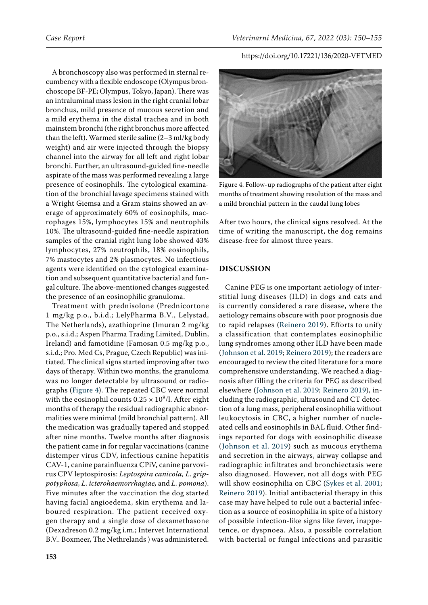A bronchoscopy also was performed in sternal recumbency with a flexible endoscope (Olympus bronchoscope BF-PE; Olympus, Tokyo, Japan). There was an intraluminal mass lesion in the right cranial lobar bronchus, mild presence of mucous secretion and a mild erythema in the distal trachea and in both mainstem bronchi (the right bronchus more affected than the left). Warmed sterile saline (2–3 ml/kg body weight) and air were injected through the biopsy channel into the airway for all left and right lobar bronchi. Further, an ultrasound-guided fine-needle aspirate of the mass was performed revealing a large presence of eosinophils. The cytological examination of the bronchial lavage specimens stained with a Wright Giemsa and a Gram stains showed an average of approximately 60% of eosinophils, macrophages 15%, lymphocytes 15% and neutrophils 10%. The ultrasound-guided fine-needle aspiration samples of the cranial right lung lobe showed 43% lymphocytes, 27% neutrophils, 18% eosinophils, 7% mastocytes and 2% plasmocytes. No infectious agents were identified on the cytological examination and subsequent quantitative bacterial and fungal culture. The above-mentioned changes suggested the presence of an eosinophilic granuloma.

Treatment with prednisolone (Prednicortone 1 mg/kg p.o., b.i.d.; LelyPharma B.V., Lelystad, The Netherlands), azathioprine (Imuran 2 mg/kg p.o., s.i.d.; Aspen Pharma Trading Limited, Dublin, Ireland) and famotidine (Famosan 0.5 mg/kg p.o., s.i.d.; Pro. Med Cs, Prague, Czech Republic) was initiated. The clinical signs started improving after two days of therapy. Within two months, the granuloma was no longer detectable by ultrasound or radiographs ([Figure 4](#page-3-0)). The repeated CBC were normal with the eosinophil counts  $0.25 \times 10^9$ /l. After eight months of therapy the residual radiographic abnormalities were minimal (mild bronchial pattern). All the medication was gradually tapered and stopped after nine months. Twelve months after diagnosis the patient came in for regular vaccinations (canine distemper virus CDV, infectious canine hepatitis CAV-1, canine parainfluenza CPiV, canine parvovirus CPV leptospirosis: *Leptospira canicola, L. grippotyphosa, L. icterohaemorrhagiae,* and *L. pomona*). Five minutes after the vaccination the dog started having facial angioedema, skin erythema and laboured respiration. The patient received oxygen therapy and a single dose of dexamethasone (Dexadreson 0.2 mg/kg i.m.; Intervet International B.V.. Boxmeer, The Nethrelands ) was administered.

<span id="page-3-0"></span>

Figure 4. Follow-up radiographs of the patient after eight months of treatment showing resolution of the mass and a mild bronchial pattern in the caudal lung lobes

After two hours, the clinical signs resolved. At the time of writing the manuscript, the dog remains disease-free for almost three years.

## **DISCUSSION**

Canine PEG is one important aetiology of interstitial lung diseases (ILD) in dogs and cats and is currently considered a rare disease, where the aetiology remains obscure with poor prognosis due to rapid relapses ([Reinero 2019\)](#page-5-0). Efforts to unify a classification that contemplates eosinophilic lung syndromes among other ILD have been made ([Johnson et al. 2019](#page-5-1); [Reinero 2019](#page-5-0)); the readers are encouraged to review the cited literature for a more comprehensive understanding. We reached a diagnosis after filling the criteria for PEG as described elsewhere ([Johnson et al. 2019;](#page-5-1) [Reinero 2019\)](#page-5-0), including the radiographic, ultrasound and CT detection of a lung mass, peripheral eosinophilia without leukocytosis in CBC, a higher number of nucleated cells and eosinophils in BAL fluid. Other findings reported for dogs with eosinophilic disease ([Johnson et al. 2019](#page-5-1)) such as mucous erythema and secretion in the airways, airway collapse and radiographic infiltrates and bronchiectasis were also diagnosed. However, not all dogs with PEG will show eosinophilia on CBC ([Sykes et al. 2001](#page-5-5); [Reinero 2019](#page-5-0)). Initial antibacterial therapy in this case may have helped to rule out a bacterial infection as a source of eosinophilia in spite of a history of possible infection-like signs like fever, inappetence, or dyspnoea. Also, a possible correlation with bacterial or fungal infections and parasitic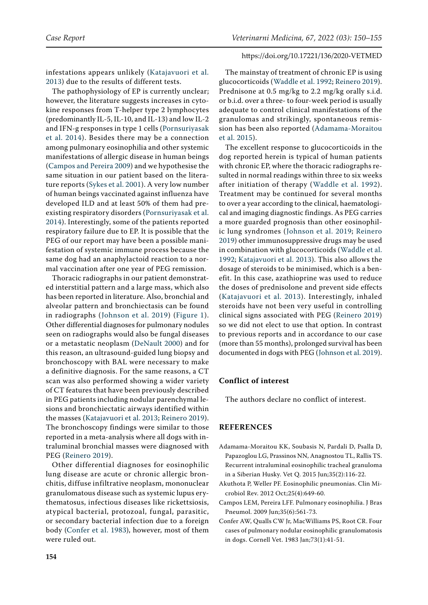infestations appears unlikely ([Katajavuori et al.](#page-5-7)  [2013\)](#page-5-7) due to the results of different tests.

The pathophysiology of EP is currently unclear; however, the literature suggests increases in cytokine responses from T-helper type 2 lymphocytes (predominantly IL-5, IL-10, and IL-13) and low IL-2 and IFN-g responses in type 1 cells ([Pornsuriyasak](#page-5-11)  [et al. 2014\)](#page-5-11). Besides there may be a connection among pulmonary eosinophilia and other systemic manifestations of allergic disease in human beings [\(Campos and Pereira 2009](#page-4-2)) and we hypothesise the same situation in our patient based on the literature reports ([Sykes et al. 2001](#page-5-5)). A very low number of human beings vaccinated against influenza have developed ILD and at least 50% of them had preexisting respiratory disorders ([Pornsuriyasak et al.](#page-5-11)  [2014\)](#page-5-11). Interestingly, some of the patients reported respiratory failure due to EP. It is possible that the PEG of our report may have been a possible manifestation of systemic immune process because the same dog had an anaphylactoid reaction to a normal vaccination after one year of PEG remission.

Thoracic radiographs in our patient demonstrated interstitial pattern and a large mass, which also has been reported in literature. Also, bronchial and alveolar pattern and bronchiectasis can be found in radiographs ([Johnson et al. 2019\)](#page-5-1) ([Figure 1](#page-1-0)). Other differential diagnoses for pulmonary nodules seen on radiographs would also be fungal diseases or a metastatic neoplasm ([DeNault 2000\)](#page-5-10) and for this reason, an ultrasound-guided lung biopsy and bronchoscopy with BAL were necessary to make a definitive diagnosis. For the same reasons, a CT scan was also performed showing a wider variety of CT features that have been previously described in PEG patients including nodular parenchymal lesions and bronchiectatic airways identified within the masses ([Katajavuori et al. 2013;](#page-5-7) [Reinero 2019\)](#page-5-0). The bronchoscopy findings were similar to those reported in a meta-analysis where all dogs with intraluminal bronchial masses were diagnosed with PEG ([Reinero 2019](#page-5-0)).

Other differential diagnoses for eosinophilic lung disease are acute or chronic allergic bronchitis, diffuse infiltrative neoplasm, mononuclear granulomatous disease such as systemic lupus erythematosus, infectious diseases like rickettsiosis, atypical bacterial, protozoal, fungal, parasitic, or secondary bacterial infection due to a foreign body ([Confer et al. 1983\)](#page-4-3), however, most of them were ruled out.

The mainstay of treatment of chronic EP is using glucocorticoids ([Waddle et al. 1992;](#page-5-9) [Reinero 2019\)](#page-5-0). Prednisone at 0.5 mg/kg to 2.2 mg/kg orally s.i.d. or b.i.d. over a three- to four-week period is usually adequate to control clinical manifestations of the granulomas and strikingly, spontaneous remission has been also reported ([Adamama-Moraitou](#page-4-1) [et al. 2015](#page-4-1)).

The excellent response to glucocorticoids in the dog reported herein is typical of human patients with chronic EP, where the thoracic radiographs resulted in normal readings within three to six weeks after initiation of therapy ([Waddle et al. 1992](#page-5-9)). Treatment may be continued for several months to over a year according to the clinical, haematological and imaging diagnostic findings. As PEG carries a more guarded prognosis than other eosinophilic lung syndromes ([Johnson et al. 2019](#page-5-1); [Reinero](#page-5-0) [2019](#page-5-0)) other immunosuppressive drugs may be used in combination with glucocorticoids ([Waddle et al.](#page-5-9) [1992](#page-5-9); [Katajavuori et al. 2013](#page-5-7)). This also allows the dosage of steroids to be minimised, which is a benefit. In this case, azathioprine was used to reduce the doses of prednisolone and prevent side effects ([Katajavuori et al. 2013\)](#page-5-7). Interestingly, inhaled steroids have not been very useful in controlling clinical signs associated with PEG ([Reinero 2019](#page-5-0)) so we did not elect to use that option. In contrast to previous reports and in accordance to our case (more than 55 months), prolonged survival has been documented in dogs with PEG ([Johnson et al. 2019\)](#page-5-1).

## **Conflict of interest**

The authors declare no conflict of interest.

### **REFERENCES**

- <span id="page-4-1"></span>Adamama-Moraitou KK, Soubasis N, Pardali D, Psalla D, Papazoglou LG, Prassinos NN, Anagnostou TL, Rallis TS. Recurrent intraluminal eosinophilic tracheal granuloma in a Siberian Husky. Vet Q. 2015 Jun;35(2):116-22.
- <span id="page-4-0"></span>Akuthota P, Weller PF. Eosinophilic pneumonias. Clin Microbiol Rev. 2012 Oct;25(4):649-60.
- <span id="page-4-2"></span>Campos LEM, Pereira LFF. Pulmonary eosinophilia. J Bras Pneumol. 2009 Jun;35(6):561-73.
- <span id="page-4-3"></span>Confer AW, Qualls CW Jr, MacWilliams PS, Root CR. Four cases of pulmonary nodular eosinophilic granulomatosis in dogs. Cornell Vet. 1983 Jan;73(1):41-51.